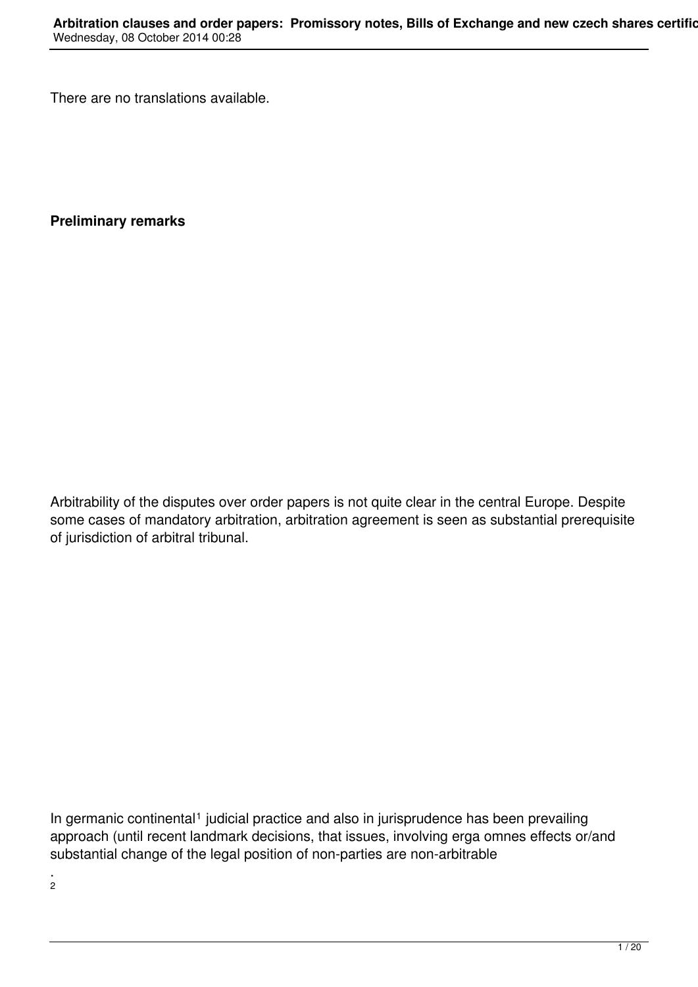There are no translations available.

**Preliminary remarks**

Arbitrability of the disputes over order papers is not quite clear in the central Europe. Despite some cases of mandatory arbitration, arbitration agreement is seen as substantial prerequisite of jurisdiction of arbitral tribunal.

In germanic continental<sup>1</sup> judicial practice and also in jurisprudence has been prevailing approach (until recent landmark decisions, that issues, involving erga omnes effects or/and substantial change of the legal position of non-parties are non-arbitrable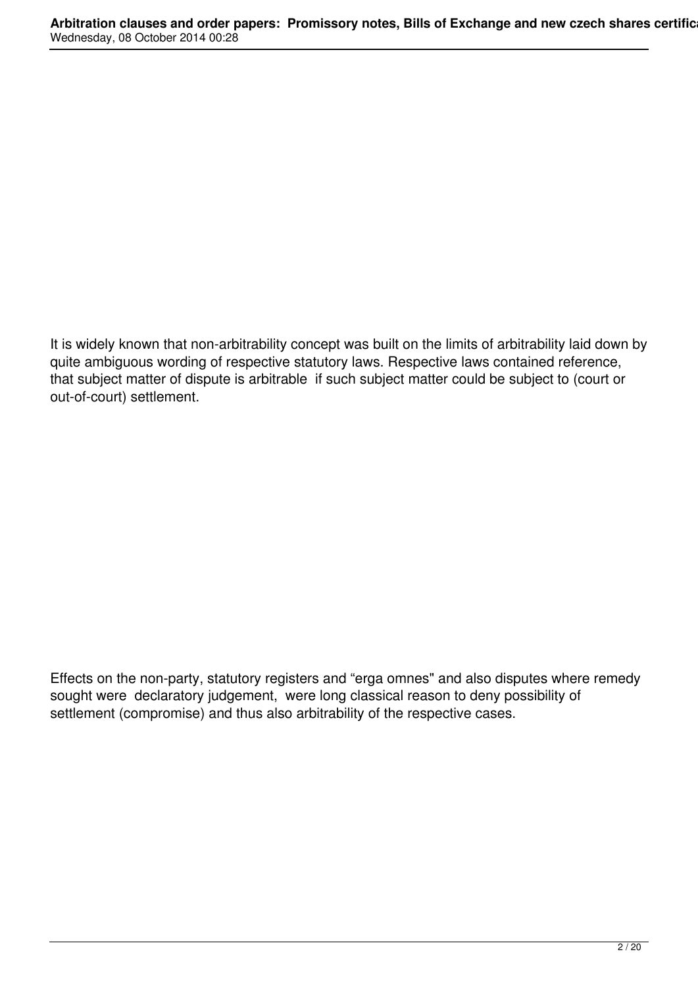It is widely known that non-arbitrability concept was built on the limits of arbitrability laid down by quite ambiguous wording of respective statutory laws. Respective laws contained reference, that subject matter of dispute is arbitrable if such subject matter could be subject to (court or out-of-court) settlement.

Effects on the non-party, statutory registers and "erga omnes" and also disputes where remedy sought were declaratory judgement, were long classical reason to deny possibility of settlement (compromise) and thus also arbitrability of the respective cases.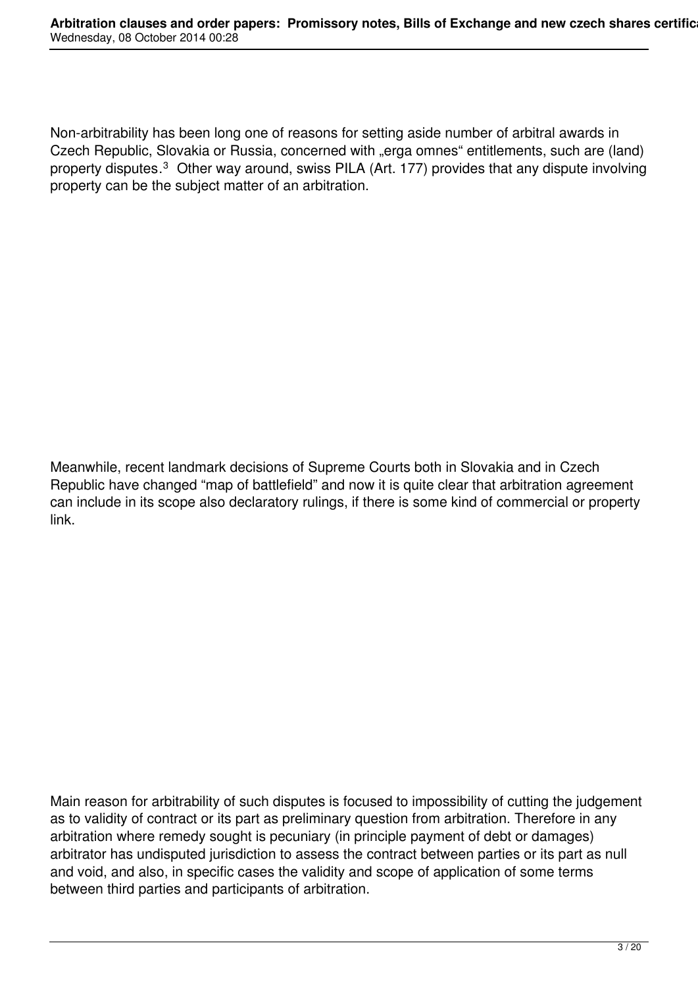Non-arbitrability has been long one of reasons for setting aside number of arbitral awards in Czech Republic, Slovakia or Russia, concerned with "erga omnes" entitlements, such are (land) property disputes.<sup>3</sup> Other way around, swiss PILA (Art. 177) provides that any dispute involving property can be the subject matter of an arbitration.

Meanwhile, recent landmark decisions of Supreme Courts both in Slovakia and in Czech Republic have changed "map of battlefield" and now it is quite clear that arbitration agreement can include in its scope also declaratory rulings, if there is some kind of commercial or property link.

Main reason for arbitrability of such disputes is focused to impossibility of cutting the judgement as to validity of contract or its part as preliminary question from arbitration. Therefore in any arbitration where remedy sought is pecuniary (in principle payment of debt or damages) arbitrator has undisputed jurisdiction to assess the contract between parties or its part as null and void, and also, in specific cases the validity and scope of application of some terms between third parties and participants of arbitration.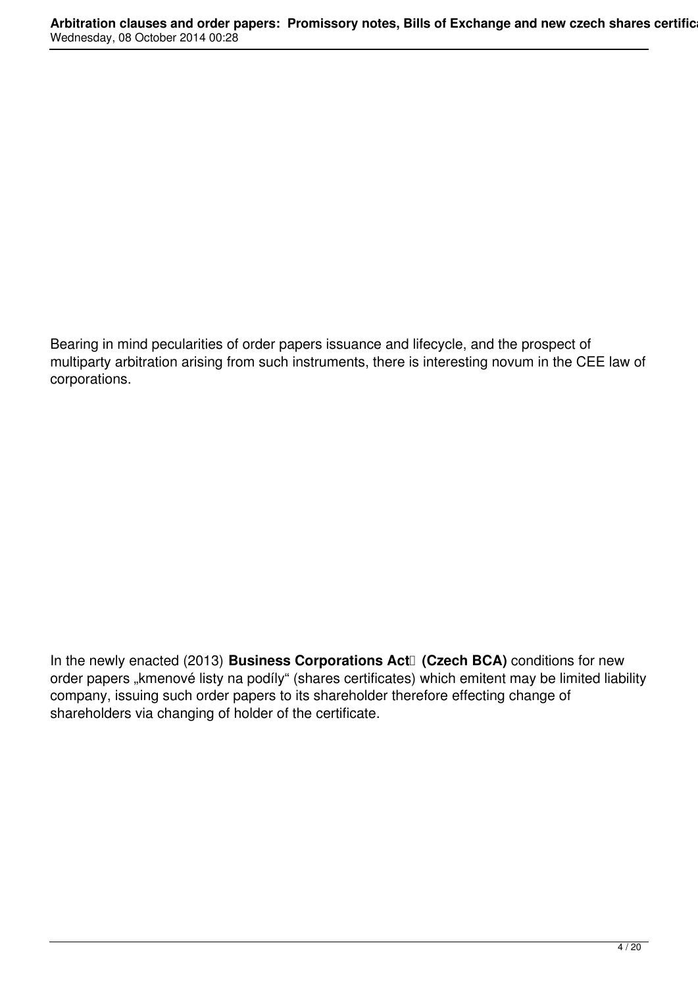Bearing in mind pecularities of order papers issuance and lifecycle, and the prospect of multiparty arbitration arising from such instruments, there is interesting novum in the CEE law of corporations.

In the newly enacted (2013) **Business Corporations Act**<sup>[]</sup> (Czech BCA) conditions for new order papers "kmenové listy na podíly" (shares certificates) which emitent may be limited liability company, issuing such order papers to its shareholder therefore effecting change of shareholders via changing of holder of the certificate.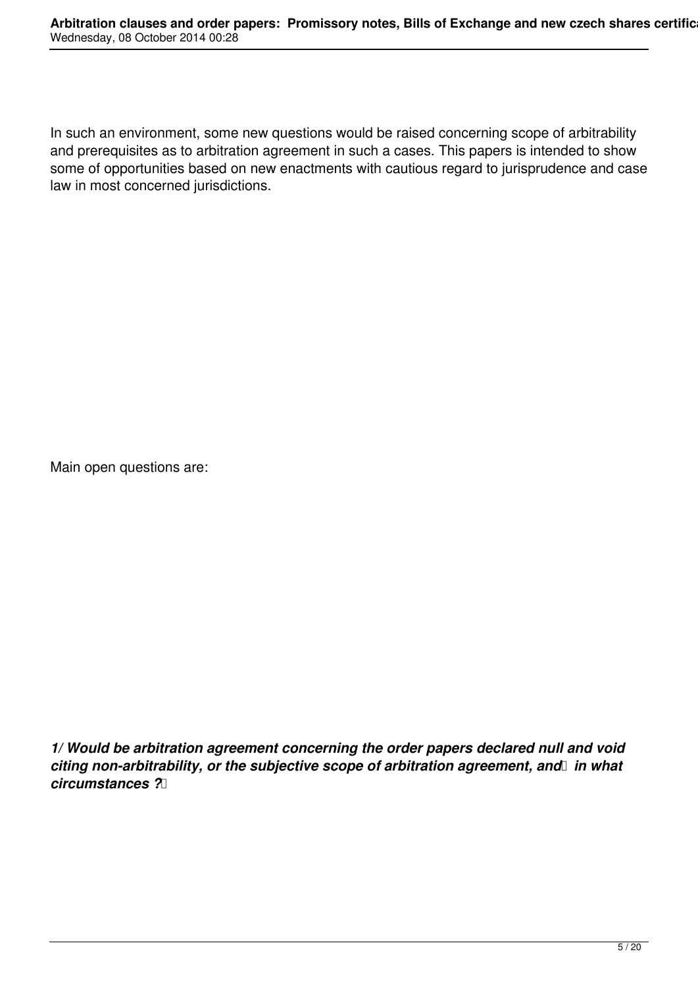In such an environment, some new questions would be raised concerning scope of arbitrability and prerequisites as to arbitration agreement in such a cases. This papers is intended to show some of opportunities based on new enactments with cautious regard to jurisprudence and case law in most concerned jurisdictions.

Main open questions are:

*1/ Would be arbitration agreement concerning the order papers declared null and void* citing non-arbitrability, or the subjective scope of arbitration agreement, and in what *circumstances ?*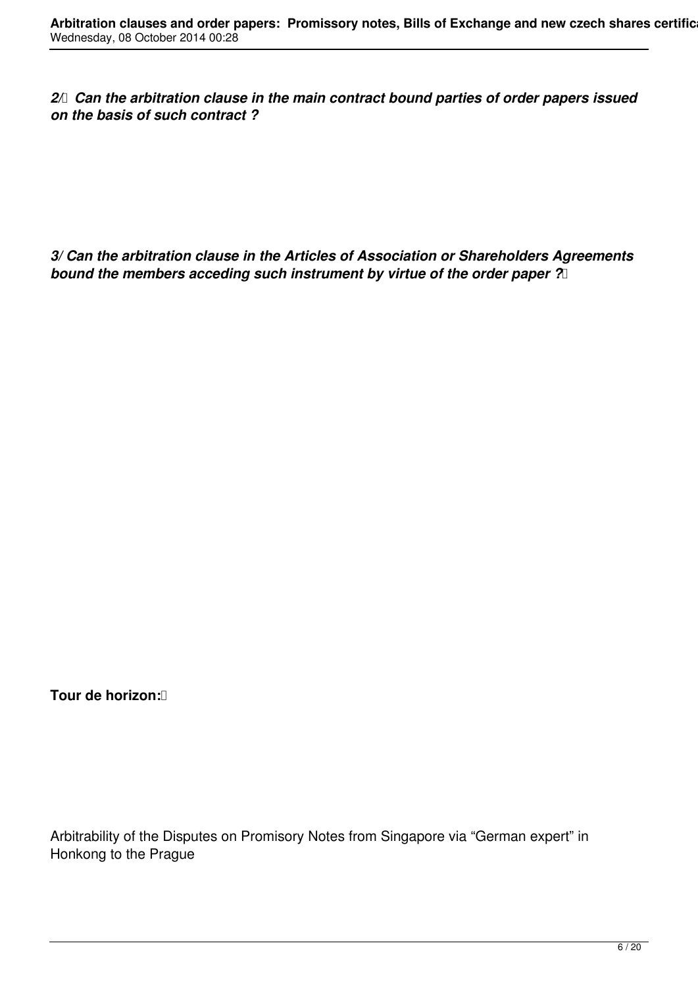2/ Can the arbitration clause in the main contract bound parties of order papers issued *on the basis of such contract ?*

*3/ Can the arbitration clause in the Articles of Association or Shareholders Agreements bound the members acceding such instrument by virtue of the order paper ?* 

**Tour de horizon:** 

Arbitrability of the Disputes on Promisory Notes from Singapore via "German expert" in Honkong to the Prague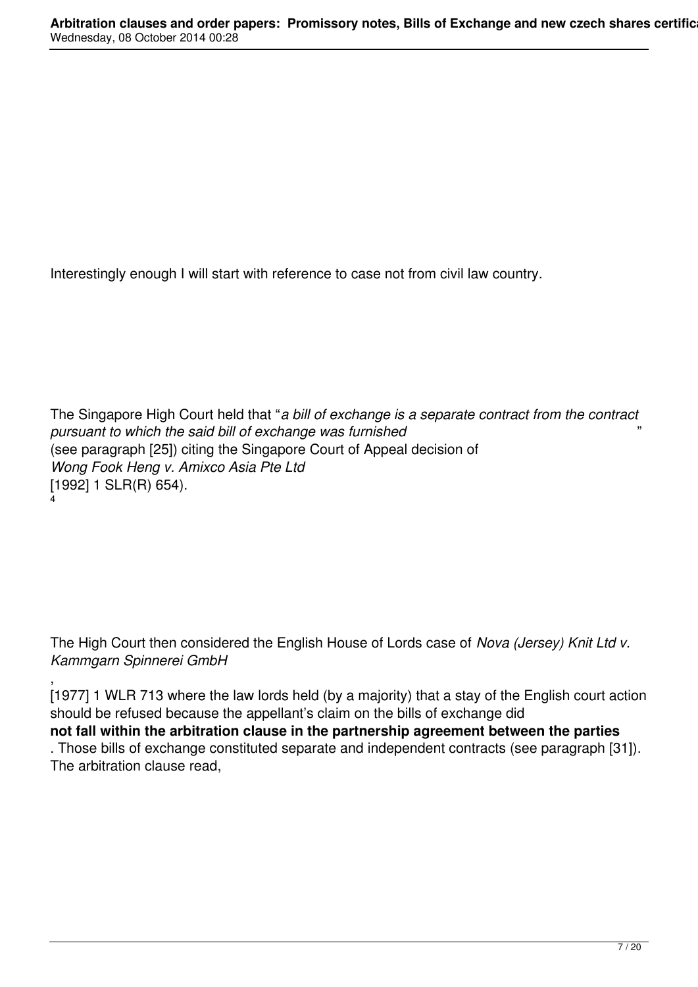Interestingly enough I will start with reference to case not from civil law country.

The Singapore High Court held that "*a bill of exchange is a separate contract from the contract pursuant to which the said bill of exchange was furnished* " (see paragraph [25]) citing the Singapore Court of Appeal decision of *Wong Fook Heng v. Amixco Asia Pte Ltd*  [1992] 1 SLR(R) 654). 4

The High Court then considered the English House of Lords case of *Nova (Jersey) Knit Ltd v. Kammgarn Spinnerei GmbH*

, [1977] 1 WLR 713 where the law lords held (by a majority) that a stay of the English court action should be refused because the appellant's claim on the bills of exchange did **not fall within the arbitration clause in the partnership agreement between the parties**

. Those bills of exchange constituted separate and independent contracts (see paragraph [31]). The arbitration clause read,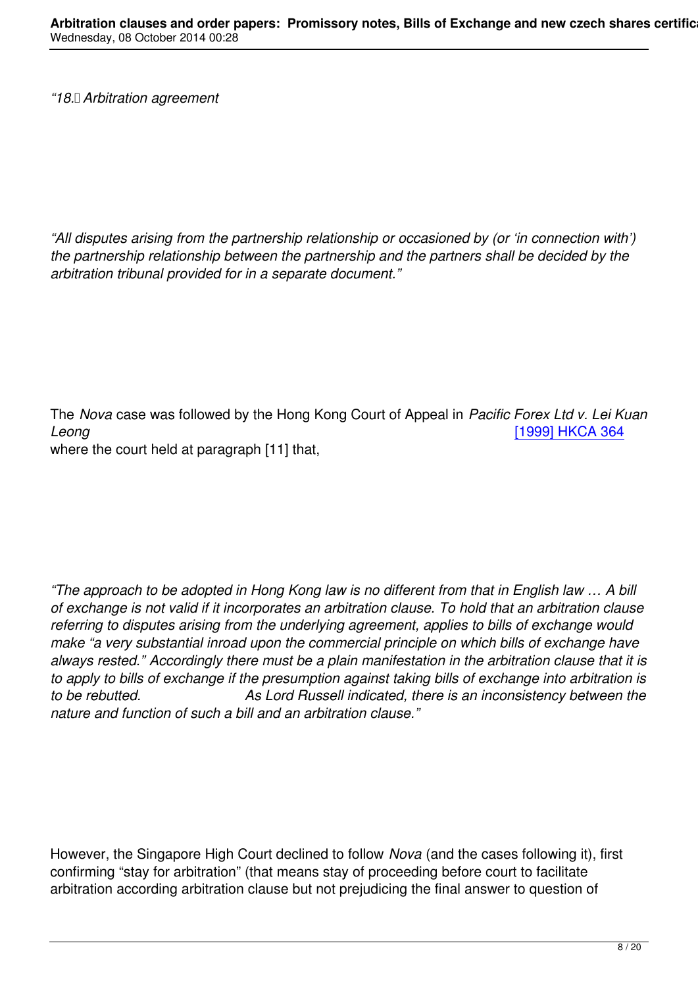*"All disputes arising from the partnership relationship or occasioned by (or 'in connection with') the partnership relationship between the partnership and the partners shall be decided by the arbitration tribunal provided for in a separate document."*

The *Nova* case was followed by the Hong Kong Court of Appeal in *Pacific Forex Ltd v. Lei Kuan Leong* [1999] HKCA 364

where the court held at paragraph [11] that,

*"The approach to be adopted in Hong Kong law is no different from that in English law … A bill of exchange is not valid if it incorporates an arbitration clause. To hold that an arbitration clause referring to disputes arising from the underlying agreement, applies to bills of exchange would make "a very substantial inroad upon the commercial principle on which bills of exchange have always rested." Accordingly there must be a plain manifestation in the arbitration clause that it is to apply to bills of exchange if the presumption against taking bills of exchange into arbitration is to be rebutted. As Lord Russell indicated, there is an inconsistency between the nature and function of such a bill and an arbitration clause."*

However, the Singapore High Court declined to follow *Nova* (and the cases following it), first confirming "stay for arbitration" (that means stay of proceeding before court to facilitate arbitration according arbitration clause but not prejudicing the final answer to question of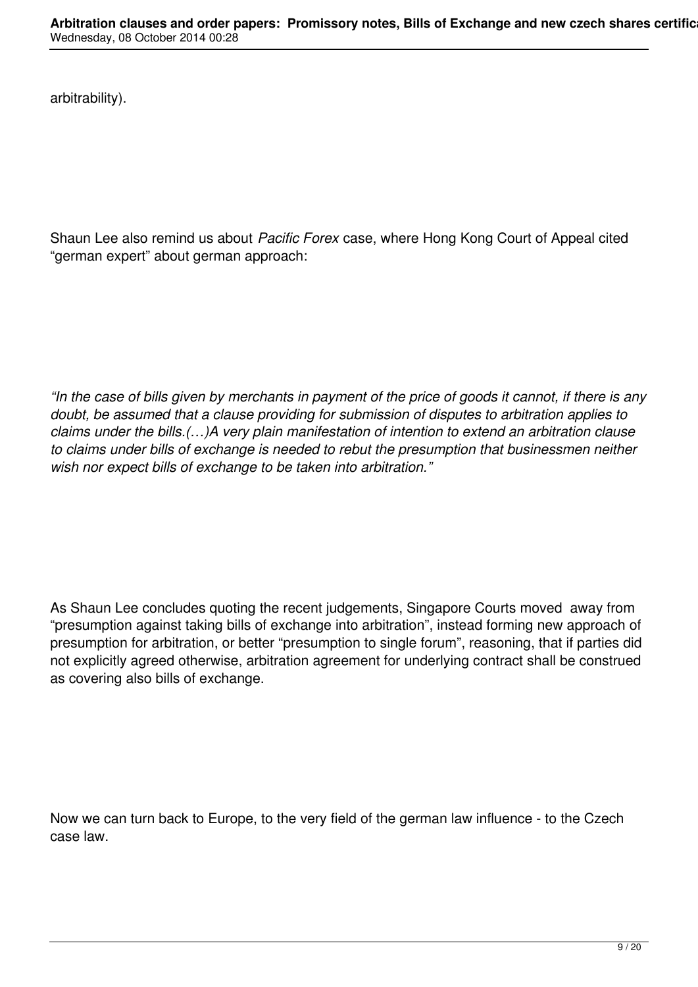arbitrability).

Shaun Lee also remind us about *Pacific Forex* case, where Hong Kong Court of Appeal cited "german expert" about german approach:

*"In the case of bills given by merchants in payment of the price of goods it cannot, if there is any doubt, be assumed that a clause providing for submission of disputes to arbitration applies to claims under the bills.(…)A very plain manifestation of intention to extend an arbitration clause to claims under bills of exchange is needed to rebut the presumption that businessmen neither wish nor expect bills of exchange to be taken into arbitration."*

As Shaun Lee concludes quoting the recent judgements, Singapore Courts moved away from "presumption against taking bills of exchange into arbitration", instead forming new approach of presumption for arbitration, or better "presumption to single forum", reasoning, that if parties did not explicitly agreed otherwise, arbitration agreement for underlying contract shall be construed as covering also bills of exchange.

Now we can turn back to Europe, to the very field of the german law influence - to the Czech case law.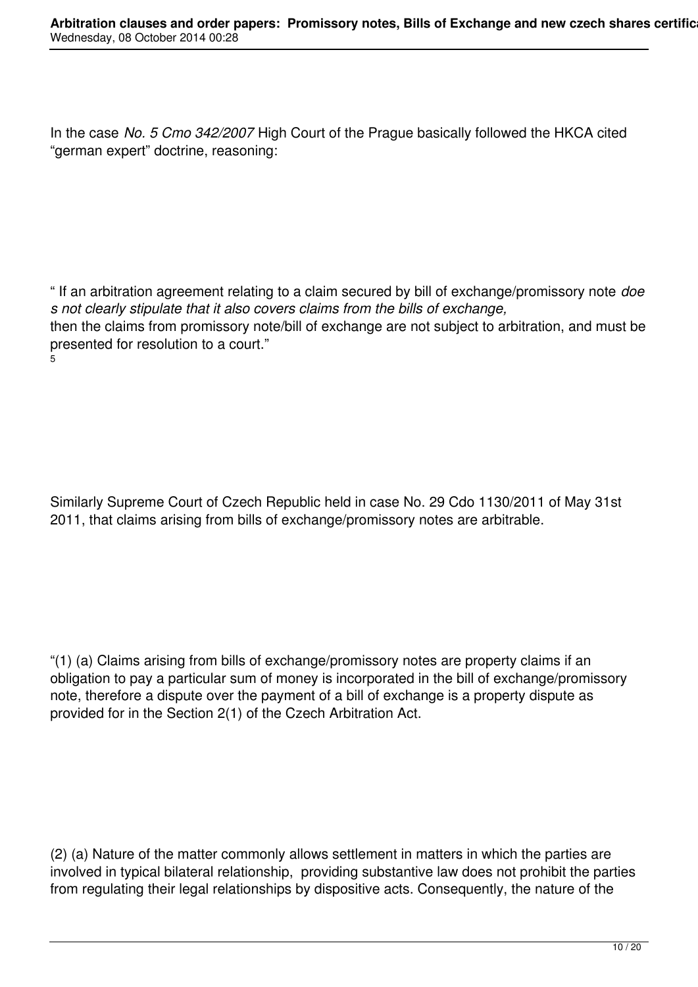In the case *No. 5 Cmo 342/2007* High Court of the Prague basically followed the HKCA cited "german expert" doctrine, reasoning:

" If an arbitration agreement relating to a claim secured by bill of exchange/promissory note *doe s not clearly stipulate that it also covers claims from the bills of exchange,* then the claims from promissory note/bill of exchange are not subject to arbitration, and must be presented for resolution to a court." 5

Similarly Supreme Court of Czech Republic held in case No. 29 Cdo 1130/2011 of May 31st 2011, that claims arising from bills of exchange/promissory notes are arbitrable.

"(1) (a) Claims arising from bills of exchange/promissory notes are property claims if an obligation to pay a particular sum of money is incorporated in the bill of exchange/promissory note, therefore a dispute over the payment of a bill of exchange is a property dispute as provided for in the Section 2(1) of the Czech Arbitration Act.

(2) (a) Nature of the matter commonly allows settlement in matters in which the parties are involved in typical bilateral relationship, providing substantive law does not prohibit the parties from regulating their legal relationships by dispositive acts. Consequently, the nature of the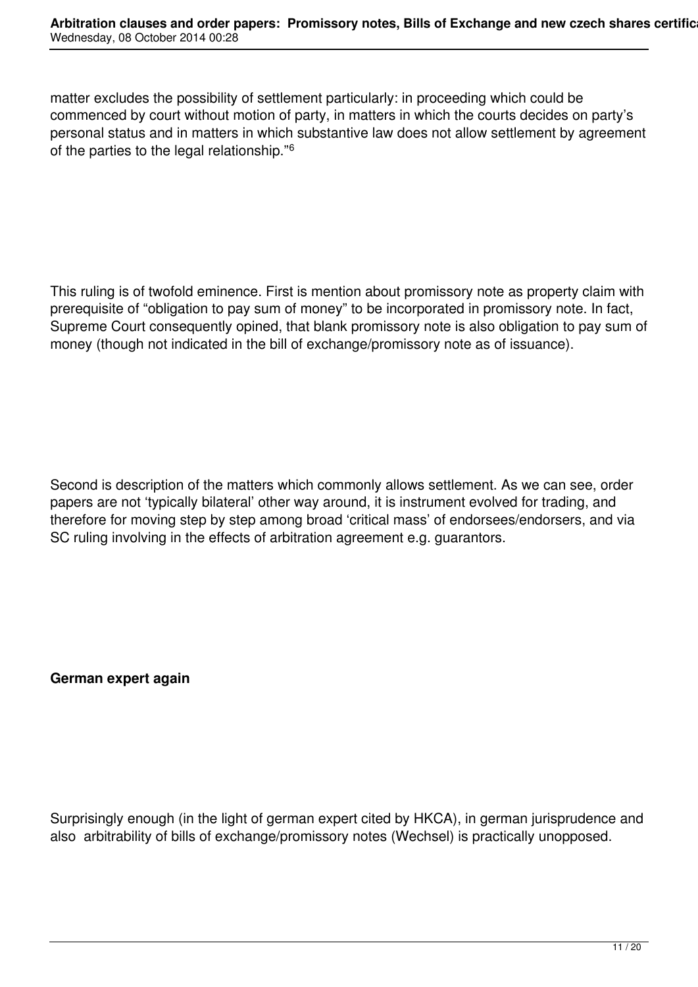matter excludes the possibility of settlement particularly: in proceeding which could be commenced by court without motion of party, in matters in which the courts decides on party's personal status and in matters in which substantive law does not allow settlement by agreement of the parties to the legal relationship."<sup>6</sup>

This ruling is of twofold eminence. First is mention about promissory note as property claim with prerequisite of "obligation to pay sum of money" to be incorporated in promissory note. In fact, Supreme Court consequently opined, that blank promissory note is also obligation to pay sum of money (though not indicated in the bill of exchange/promissory note as of issuance).

Second is description of the matters which commonly allows settlement. As we can see, order papers are not 'typically bilateral' other way around, it is instrument evolved for trading, and therefore for moving step by step among broad 'critical mass' of endorsees/endorsers, and via SC ruling involving in the effects of arbitration agreement e.g. guarantors.

**German expert again**

Surprisingly enough (in the light of german expert cited by HKCA), in german jurisprudence and also arbitrability of bills of exchange/promissory notes (Wechsel) is practically unopposed.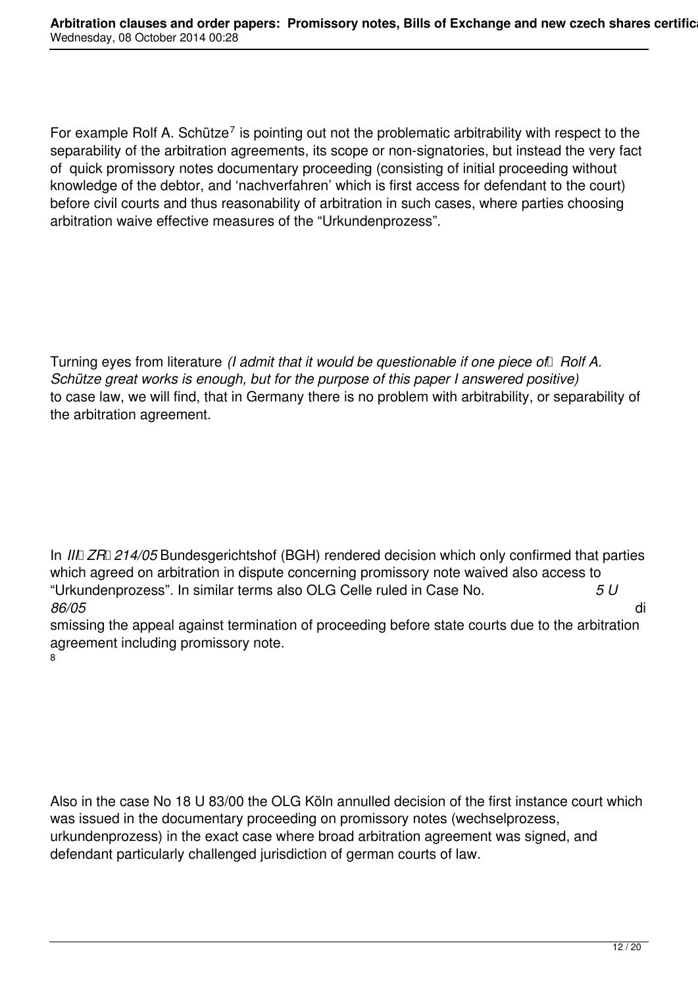For example Rolf A. Schütze<sup>7</sup> is pointing out not the problematic arbitrability with respect to the separability of the arbitration agreements, its scope or non-signatories, but instead the very fact of quick promissory notes documentary proceeding (consisting of initial proceeding without knowledge of the debtor, and 'nachverfahren' which is first access for defendant to the court) before civil courts and thus reasonability of arbitration in such cases, where parties choosing arbitration waive effective measures of the "Urkundenprozess".

Turning eyes from literature *(I admit that it would be questionable if one piece of Rolf A. Schütze great works is enough, but for the purpose of this paper I answered positive)* to case law, we will find, that in Germany there is no problem with arbitrability, or separability of the arbitration agreement.

In *III* ZR 214/05 Bundesgerichtshof (BGH) rendered decision which only confirmed that parties which agreed on arbitration in dispute concerning promissory note waived also access to "Urkundenprozess". In similar terms also OLG Celle ruled in Case No. *5 U 86/05* di

smissing the appeal against termination of proceeding before state courts due to the arbitration agreement including promissory note. 8

Also in the case No 18 U 83/00 the OLG Köln annulled decision of the first instance court which was issued in the documentary proceeding on promissory notes (wechselprozess, urkundenprozess) in the exact case where broad arbitration agreement was signed, and defendant particularly challenged jurisdiction of german courts of law.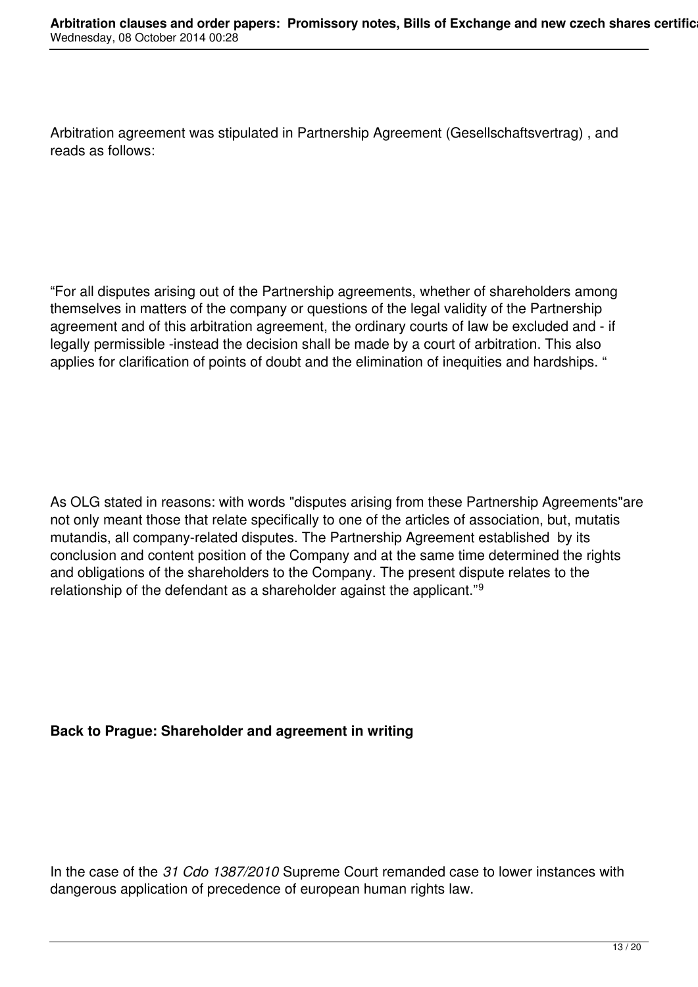Arbitration agreement was stipulated in Partnership Agreement (Gesellschaftsvertrag) , and reads as follows:

"For all disputes arising out of the Partnership agreements, whether of shareholders among themselves in matters of the company or questions of the legal validity of the Partnership agreement and of this arbitration agreement, the ordinary courts of law be excluded and - if legally permissible -instead the decision shall be made by a court of arbitration. This also applies for clarification of points of doubt and the elimination of inequities and hardships. "

As OLG stated in reasons: with words "disputes arising from these Partnership Agreements"are not only meant those that relate specifically to one of the articles of association, but, mutatis mutandis, all company-related disputes. The Partnership Agreement established by its conclusion and content position of the Company and at the same time determined the rights and obligations of the shareholders to the Company. The present dispute relates to the relationship of the defendant as a shareholder against the applicant."<sup>9</sup>

## **Back to Prague: Shareholder and agreement in writing**

In the case of the *31 Cdo 1387/2010* Supreme Court remanded case to lower instances with dangerous application of precedence of european human rights law.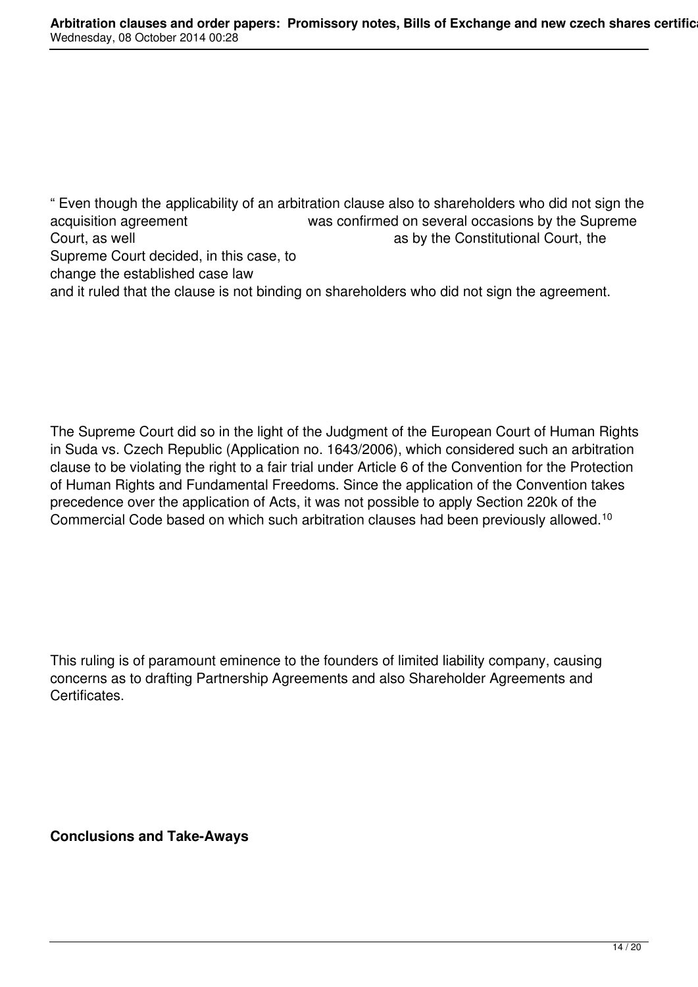" Even though the applicability of an arbitration clause also to shareholders who did not sign the acquisition agreement was confirmed on several occasions by the Supreme<br>Court, as well example as by the Constitutional Court, the as by the Constitutional Court, the Supreme Court decided, in this case, to change the established case law and it ruled that the clause is not binding on shareholders who did not sign the agreement.

The Supreme Court did so in the light of the Judgment of the European Court of Human Rights in Suda vs. Czech Republic (Application no. 1643/2006), which considered such an arbitration clause to be violating the right to a fair trial under Article 6 of the Convention for the Protection of Human Rights and Fundamental Freedoms. Since the application of the Convention takes precedence over the application of Acts, it was not possible to apply Section 220k of the Commercial Code based on which such arbitration clauses had been previously allowed.<sup>10</sup>

This ruling is of paramount eminence to the founders of limited liability company, causing concerns as to drafting Partnership Agreements and also Shareholder Agreements and Certificates.

**Conclusions and Take-Aways**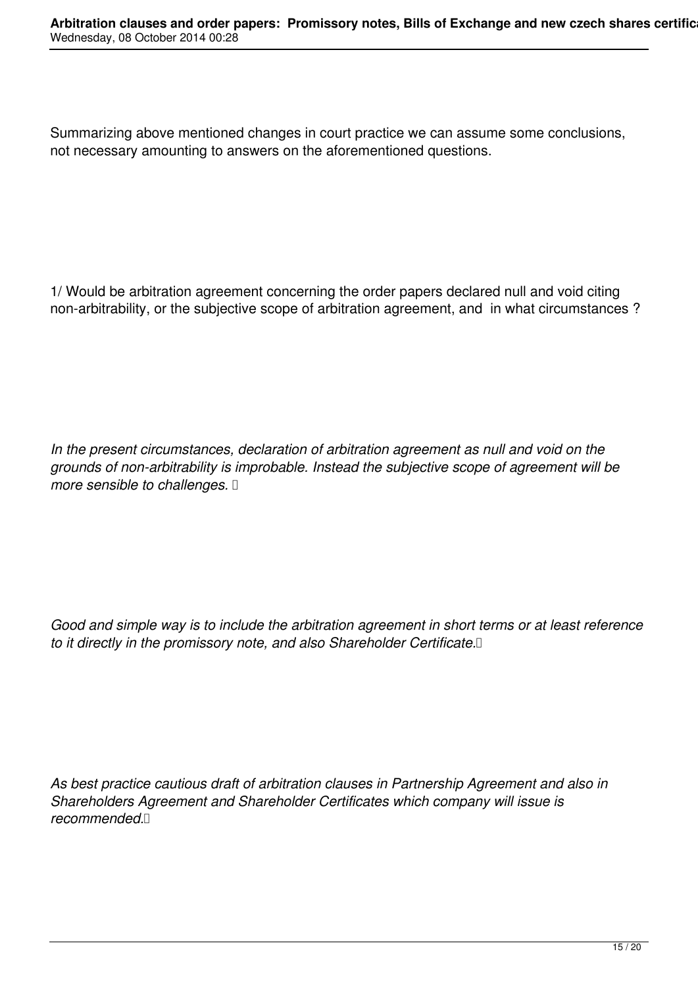Summarizing above mentioned changes in court practice we can assume some conclusions, not necessary amounting to answers on the aforementioned questions.

1/ Would be arbitration agreement concerning the order papers declared null and void citing non-arbitrability, or the subjective scope of arbitration agreement, and in what circumstances ?

*In the present circumstances, declaration of arbitration agreement as null and void on the grounds of non-arbitrability is improbable. Instead the subjective scope of agreement will be more sensible to challenges.* 

*Good and simple way is to include the arbitration agreement in short terms or at least reference to it directly in the promissory note, and also Shareholder Certificate.* 

*As best practice cautious draft of arbitration clauses in Partnership Agreement and also in Shareholders Agreement and Shareholder Certificates which company will issue is recommended.*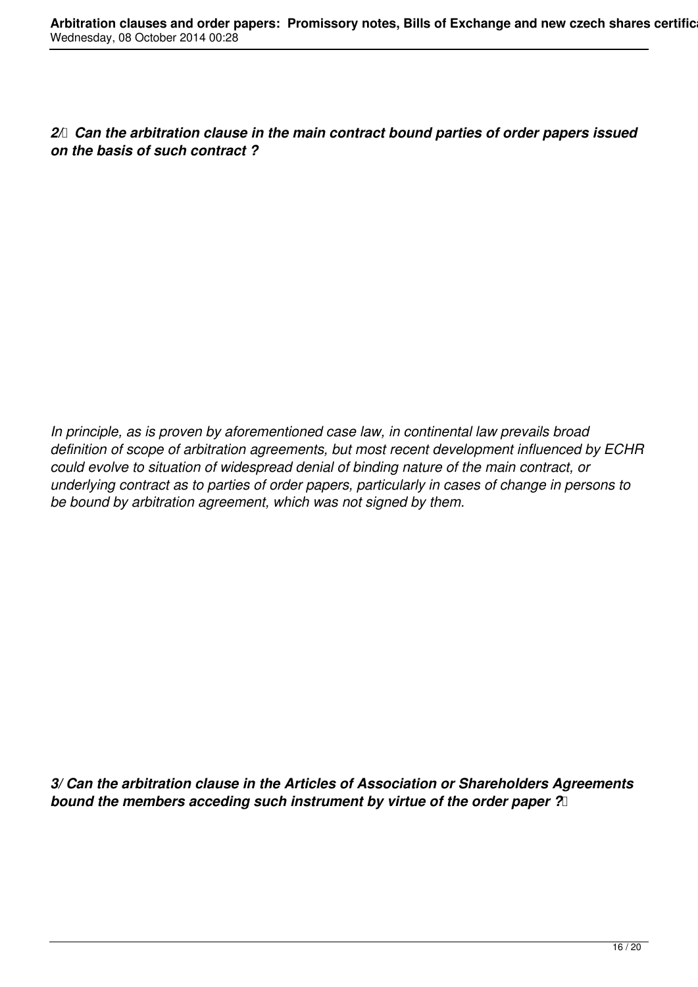2/ Can the arbitration clause in the main contract bound parties of order papers issued *on the basis of such contract ?*

*In principle, as is proven by aforementioned case law, in continental law prevails broad definition of scope of arbitration agreements, but most recent development influenced by ECHR could evolve to situation of widespread denial of binding nature of the main contract, or underlying contract as to parties of order papers, particularly in cases of change in persons to be bound by arbitration agreement, which was not signed by them.*

*3/ Can the arbitration clause in the Articles of Association or Shareholders Agreements bound the members acceding such instrument by virtue of the order paper ?*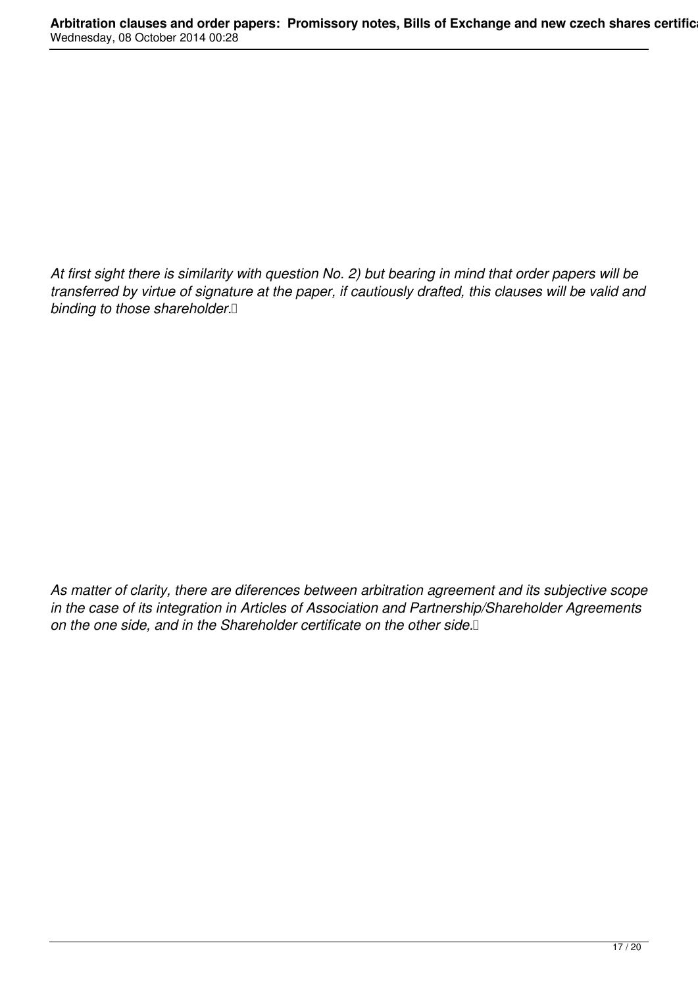*At first sight there is similarity with question No. 2) but bearing in mind that order papers will be transferred by virtue of signature at the paper, if cautiously drafted, this clauses will be valid and binding to those shareholder.* 

*As matter of clarity, there are diferences between arbitration agreement and its subjective scope in the case of its integration in Articles of Association and Partnership/Shareholder Agreements on the one side, and in the Shareholder certificate on the other side.*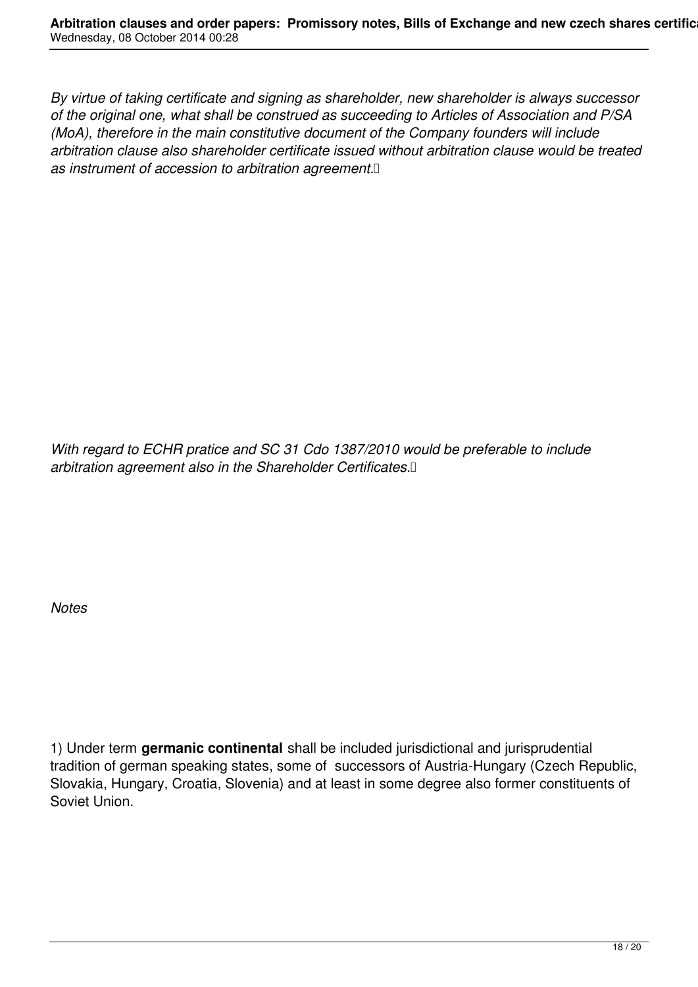*By virtue of taking certificate and signing as shareholder, new shareholder is always successor of the original one, what shall be construed as succeeding to Articles of Association and P/SA (MoA), therefore in the main constitutive document of the Company founders will include arbitration clause also shareholder certificate issued without arbitration clause would be treated as instrument of accession to arbitration agreement.* 

*With regard to ECHR pratice and SC 31 Cdo 1387/2010 would be preferable to include arbitration agreement also in the Shareholder Certificates.* 

*Notes*

1) Under term **germanic continental** shall be included jurisdictional and jurisprudential tradition of german speaking states, some of successors of Austria-Hungary (Czech Republic, Slovakia, Hungary, Croatia, Slovenia) and at least in some degree also former constituents of Soviet Union.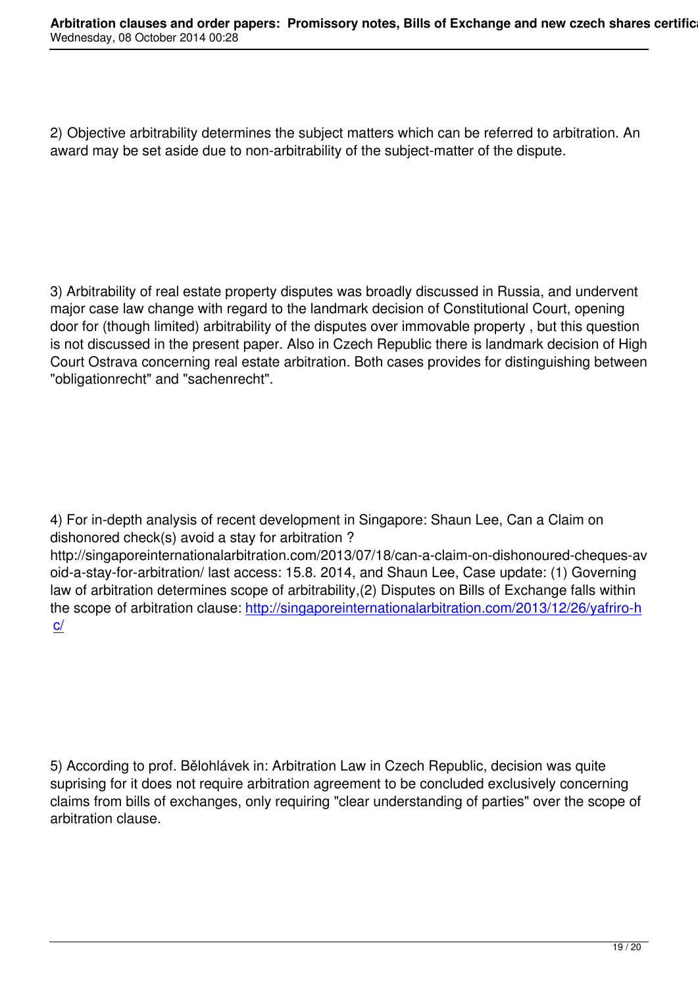2) Objective arbitrability determines the subject matters which can be referred to arbitration. An award may be set aside due to non-arbitrability of the subject-matter of the dispute.

3) Arbitrability of real estate property disputes was broadly discussed in Russia, and undervent major case law change with regard to the landmark decision of Constitutional Court, opening door for (though limited) arbitrability of the disputes over immovable property , but this question is not discussed in the present paper. Also in Czech Republic there is landmark decision of High Court Ostrava concerning real estate arbitration. Both cases provides for distinguishing between "obligationrecht" and "sachenrecht".

4) For in-depth analysis of recent development in Singapore: Shaun Lee, Can a Claim on dishonored check(s) avoid a stay for arbitration ?

http://singaporeinternationalarbitration.com/2013/07/18/can-a-claim-on-dishonoured-cheques-av oid-a-stay-for-arbitration/ last access: 15.8. 2014, and Shaun Lee, Case update: (1) Governing law of arbitration determines scope of arbitrability,(2) Disputes on Bills of Exchange falls within the scope of arbitration clause: http://singaporeinternationalarbitration.com/2013/12/26/yafriro-h c/

5) According to prof. Bělohlávek in: Arbitration Law in Czech Republic, decision was quite suprising for it does not require arbitration agreement to be concluded exclusively concerning claims from bills of exchanges, only requiring "clear understanding of parties" over the scope of arbitration clause.